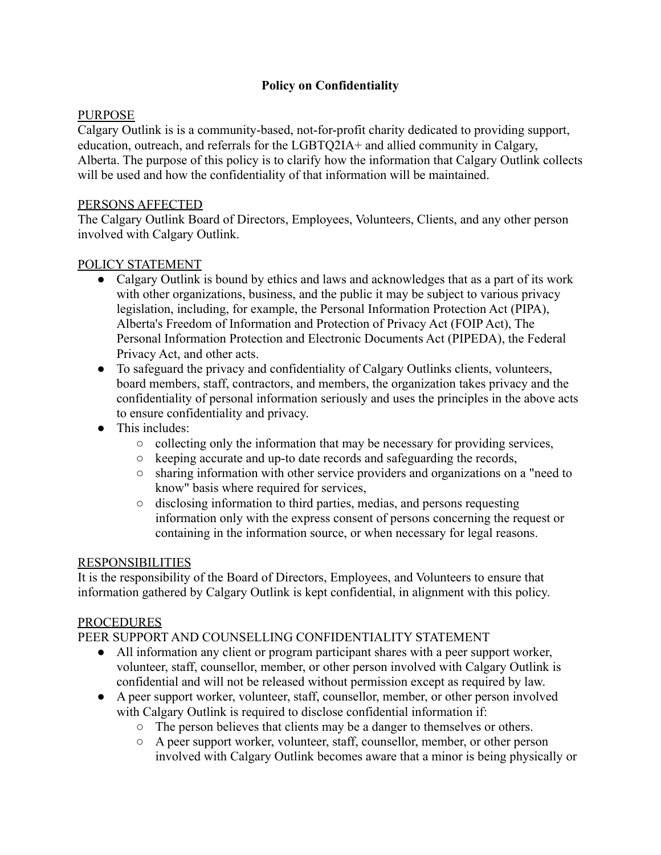# **Policy on Confidentiality**

## PURPOSE

Calgary Outlink is is a community-based, not-for-profit charity dedicated to providing support, education, outreach, and referrals for the LGBTQ2IA+ and allied community in Calgary, Alberta. The purpose of this policy is to clarify how the information that Calgary Outlink collects will be used and how the confidentiality of that information will be maintained.

### PERSONS AFFECTED

The Calgary Outlink Board of Directors, Employees, Volunteers, Clients, and any other person involved with Calgary Outlink.

### POLICY STATEMENT

- Calgary Outlink is bound by ethics and laws and acknowledges that as a part of its work with other organizations, business, and the public it may be subject to various privacy legislation, including, for example, the Personal Information Protection Act (PIPA), Alberta's Freedom of Information and Protection of Privacy Act (FOIP Act), The Personal Information Protection and Electronic Documents Act (PIPEDA), the Federal Privacy Act, and other acts.
- To safeguard the privacy and confidentiality of Calgary Outlinks clients, volunteers, board members, staff, contractors, and members, the organization takes privacy and the confidentiality of personal information seriously and uses the principles in the above acts to ensure confidentiality and privacy.
- This includes:
	- $\circ$  collecting only the information that may be necessary for providing services,
	- keeping accurate and up-to date records and safeguarding the records,
	- sharing information with other service providers and organizations on a "need to know" basis where required for services,
	- disclosing information to third parties, medias, and persons requesting information only with the express consent of persons concerning the request or containing in the information source, or when necessary for legal reasons.

#### RESPONSIBILITIES

It is the responsibility of the Board of Directors, Employees, and Volunteers to ensure that information gathered by Calgary Outlink is kept confidential, in alignment with this policy.

#### PROCEDURES

PEER SUPPORT AND COUNSELLING CONFIDENTIALITY STATEMENT

- All information any client or program participant shares with a peer support worker, volunteer, staff, counsellor, member, or other person involved with Calgary Outlink is confidential and will not be released without permission except as required by law.
- A peer support worker, volunteer, staff, counsellor, member, or other person involved with Calgary Outlink is required to disclose confidential information if:
	- The person believes that clients may be a danger to themselves or others.
	- A peer support worker, volunteer, staff, counsellor, member, or other person involved with Calgary Outlink becomes aware that a minor is being physically or